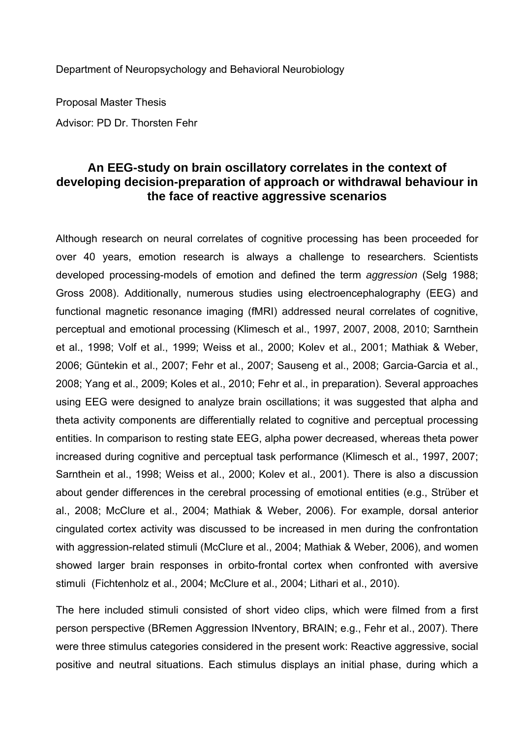Department of Neuropsychology and Behavioral Neurobiology

Proposal Master Thesis Advisor: PD Dr. Thorsten Fehr

## **An EEG-study on brain oscillatory correlates in the context of developing decision-preparation of approach or withdrawal behaviour in the face of reactive aggressive scenarios**

Although research on neural correlates of cognitive processing has been proceeded for over 40 years, emotion research is always a challenge to researchers. Scientists developed processing-models of emotion and defined the term *aggression* (Selg 1988; Gross 2008). Additionally, numerous studies using electroencephalography (EEG) and functional magnetic resonance imaging (fMRI) addressed neural correlates of cognitive, perceptual and emotional processing (Klimesch et al., 1997, 2007, 2008, 2010; Sarnthein et al., 1998; Volf et al., 1999; Weiss et al., 2000; Kolev et al., 2001; Mathiak & Weber, 2006; Güntekin et al., 2007; Fehr et al., 2007; Sauseng et al., 2008; Garcia-Garcia et al., 2008; Yang et al., 2009; Koles et al., 2010; Fehr et al., in preparation). Several approaches using EEG were designed to analyze brain oscillations; it was suggested that alpha and theta activity components are differentially related to cognitive and perceptual processing entities. In comparison to resting state EEG, alpha power decreased, whereas theta power increased during cognitive and perceptual task performance (Klimesch et al., 1997, 2007; Sarnthein et al., 1998; Weiss et al., 2000; Kolev et al., 2001). There is also a discussion about gender differences in the cerebral processing of emotional entities (e.g., Strüber et al., 2008; McClure et al., 2004; Mathiak & Weber, 2006). For example, dorsal anterior cingulated cortex activity was discussed to be increased in men during the confrontation with aggression-related stimuli (McClure et al., 2004; Mathiak & Weber, 2006), and women showed larger brain responses in orbito-frontal cortex when confronted with aversive stimuli (Fichtenholz et al., 2004; McClure et al., 2004; Lithari et al., 2010).

The here included stimuli consisted of short video clips, which were filmed from a first person perspective (BRemen Aggression INventory, BRAIN; e.g., Fehr et al., 2007). There were three stimulus categories considered in the present work: Reactive aggressive, social positive and neutral situations. Each stimulus displays an initial phase, during which a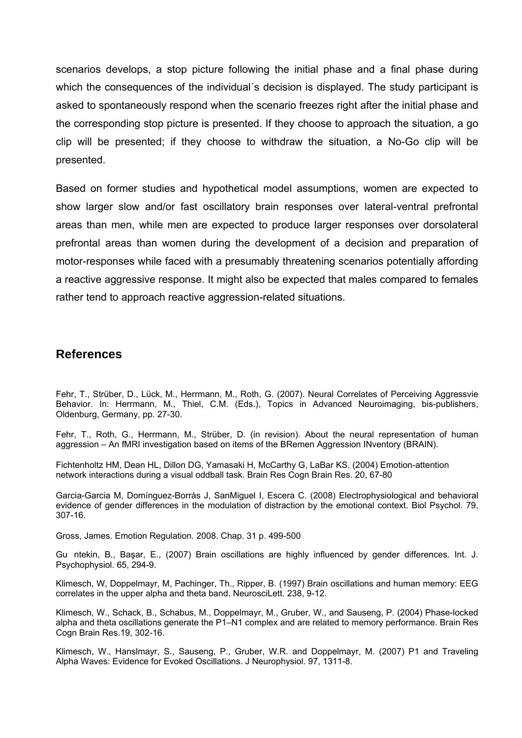scenarios develops, a stop picture following the initial phase and a final phase during which the consequences of the individual's decision is displayed. The study participant is asked to spontaneously respond when the scenario freezes right after the initial phase and the corresponding stop picture is presented. If they choose to approach the situation, a go clip will be presented; if they choose to withdraw the situation, a No-Go clip will be presented.

Based on former studies and hypothetical model assumptions, women are expected to show larger slow and/or fast oscillatory brain responses over lateral-ventral prefrontal areas than men, while men are expected to produce larger responses over dorsolateral prefrontal areas than women during the development of a decision and preparation of motor-responses while faced with a presumably threatening scenarios potentially affording a reactive aggressive response. It might also be expected that males compared to females rather tend to approach reactive aggression-related situations.

## **References**

Fehr, T., Strüber, D., Lück, M., Herrmann, M., Roth, G. (2007). Neural Correlates of Perceiving Aggressvie Behavior. In: Herrmann, M., Thiel, C.M. (Eds.), Topics in Advanced Neuroimaging, bis-publishers, Oldenburg, Germany, pp. 27-30.

Fehr, T., Roth, G., Herrmann, M., Strüber, D. (in revision). About the neural representation of human aggression – An fMRI investigation based on items of the BRemen Aggression INventory (BRAIN).

Fichtenholtz HM, Dean HL, Dillon DG, Yamasaki H, McCarthy G, LaBar KS. (2004) Emotion-attention network interactions during a visual oddball task. Brain Res Cogn Brain Res. 20, 67-80

Garcia-Garcia M, Domínguez-Borràs J, SanMiguel I, Escera C. (2008) Electrophysiological and behavioral evidence of gender differences in the modulation of distraction by the emotional context. Biol Psychol. 79, 307-16.

Gross, James. Emotion Regulation. 2008. Chap. 31 p. 499-500

Guntekin, B., Başar, E., (2007) Brain oscillations are highly influenced by gender differences. Int. J. Psychophysiol. 65, 294-9.

Klimesch, W, Doppelmayr, M, Pachinger, Th., Ripper, B. (1997) Brain oscillations and human memory: EEG correlates in the upper alpha and theta band. NeurosciLett. 238, 9-12.

Klimesch, W., Schack, B., Schabus, M., Doppelmayr, M., Gruber, W., and Sauseng, P. (2004) Phase-locked alpha and theta oscillations generate the P1–N1 complex and are related to memory performance. Brain Res Cogn Brain Res.19, 302-16.

Klimesch, W., Hanslmayr, S., Sauseng, P., Gruber, W.R. and Doppelmayr, M. (2007) P1 and Traveling Alpha Waves: Evidence for Evoked Oscillations. J Neurophysiol. 97, 1311-8.